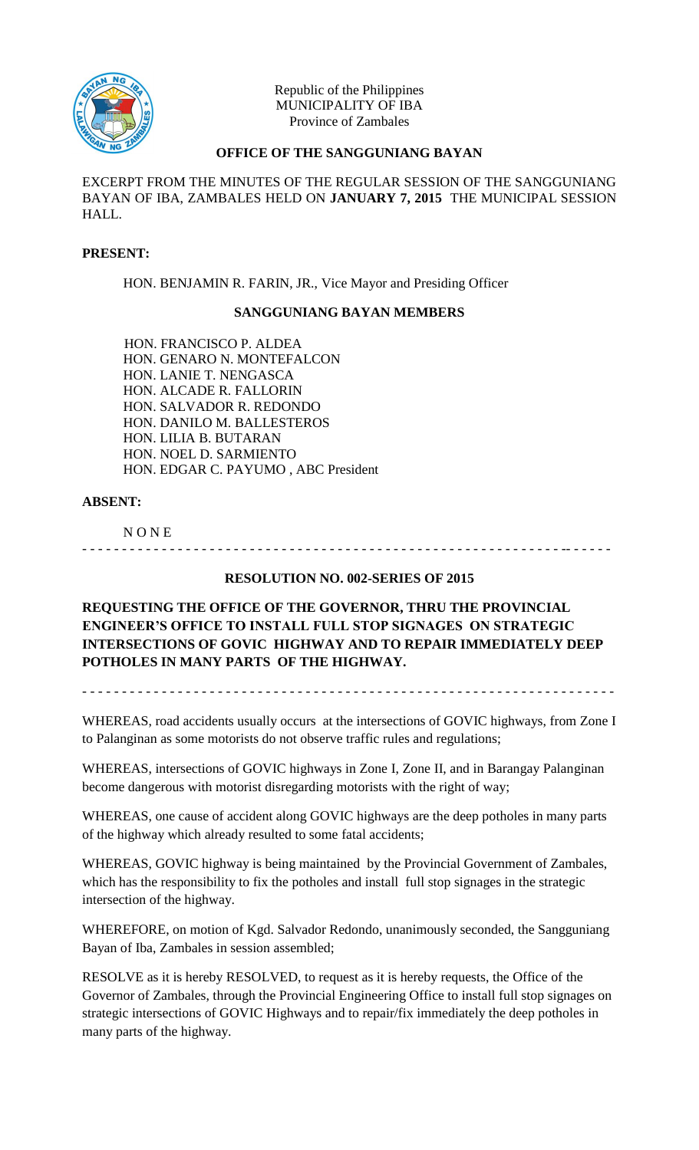

Republic of the Philippines MUNICIPALITY OF IBA Province of Zambales

# **OFFICE OF THE SANGGUNIANG BAYAN**

EXCERPT FROM THE MINUTES OF THE REGULAR SESSION OF THE SANGGUNIANG BAYAN OF IBA, ZAMBALES HELD ON **JANUARY 7, 2015** THE MUNICIPAL SESSION HALL.

## **PRESENT:**

HON. BENJAMIN R. FARIN, JR., Vice Mayor and Presiding Officer

#### **SANGGUNIANG BAYAN MEMBERS**

HON. FRANCISCO P. ALDEA HON. GENARO N. MONTEFALCON HON. LANIE T. NENGASCA HON. ALCADE R. FALLORIN HON. SALVADOR R. REDONDO HON. DANILO M. BALLESTEROS HON. LILIA B. BUTARAN HON. NOEL D. SARMIENTO HON. EDGAR C. PAYUMO , ABC President

#### **ABSENT:**

N O N E

# **RESOLUTION NO. 002-SERIES OF 2015**

- - - - - - - - - - - - - - - - - - - - - - - - - - - - - - - - - - - - - - - - - - - - - - - - - - - - - - - - - - - - -- - - - - -

**REQUESTING THE OFFICE OF THE GOVERNOR, THRU THE PROVINCIAL ENGINEER'S OFFICE TO INSTALL FULL STOP SIGNAGES ON STRATEGIC INTERSECTIONS OF GOVIC HIGHWAY AND TO REPAIR IMMEDIATELY DEEP POTHOLES IN MANY PARTS OF THE HIGHWAY.**

- - - - - - - - - - - - - - - - - - - - - - - - - - - - - - - - - - - - - - - - - - - - - - - - - - - - - - - - - - - - - - - - - - -

WHEREAS, road accidents usually occurs at the intersections of GOVIC highways, from Zone I to Palanginan as some motorists do not observe traffic rules and regulations;

WHEREAS, intersections of GOVIC highways in Zone I, Zone II, and in Barangay Palanginan become dangerous with motorist disregarding motorists with the right of way;

WHEREAS, one cause of accident along GOVIC highways are the deep potholes in many parts of the highway which already resulted to some fatal accidents;

WHEREAS, GOVIC highway is being maintained by the Provincial Government of Zambales, which has the responsibility to fix the potholes and install full stop signages in the strategic intersection of the highway.

WHEREFORE, on motion of Kgd. Salvador Redondo, unanimously seconded, the Sangguniang Bayan of Iba, Zambales in session assembled;

RESOLVE as it is hereby RESOLVED, to request as it is hereby requests, the Office of the Governor of Zambales, through the Provincial Engineering Office to install full stop signages on strategic intersections of GOVIC Highways and to repair/fix immediately the deep potholes in many parts of the highway.